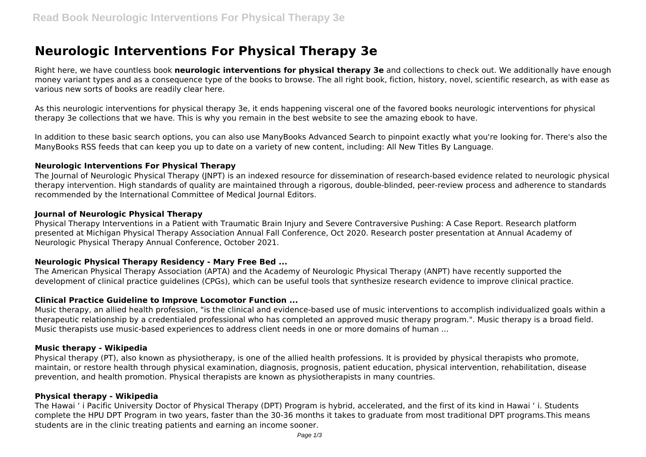# **Neurologic Interventions For Physical Therapy 3e**

Right here, we have countless book **neurologic interventions for physical therapy 3e** and collections to check out. We additionally have enough money variant types and as a consequence type of the books to browse. The all right book, fiction, history, novel, scientific research, as with ease as various new sorts of books are readily clear here.

As this neurologic interventions for physical therapy 3e, it ends happening visceral one of the favored books neurologic interventions for physical therapy 3e collections that we have. This is why you remain in the best website to see the amazing ebook to have.

In addition to these basic search options, you can also use ManyBooks Advanced Search to pinpoint exactly what you're looking for. There's also the ManyBooks RSS feeds that can keep you up to date on a variety of new content, including: All New Titles By Language.

#### **Neurologic Interventions For Physical Therapy**

The Iournal of Neurologic Physical Therapy (INPT) is an indexed resource for dissemination of research-based evidence related to neurologic physical therapy intervention. High standards of quality are maintained through a rigorous, double-blinded, peer-review process and adherence to standards recommended by the International Committee of Medical Journal Editors.

## **Journal of Neurologic Physical Therapy**

Physical Therapy Interventions in a Patient with Traumatic Brain Injury and Severe Contraversive Pushing: A Case Report. Research platform presented at Michigan Physical Therapy Association Annual Fall Conference, Oct 2020. Research poster presentation at Annual Academy of Neurologic Physical Therapy Annual Conference, October 2021.

# **Neurologic Physical Therapy Residency - Mary Free Bed ...**

The American Physical Therapy Association (APTA) and the Academy of Neurologic Physical Therapy (ANPT) have recently supported the development of clinical practice guidelines (CPGs), which can be useful tools that synthesize research evidence to improve clinical practice.

# **Clinical Practice Guideline to Improve Locomotor Function ...**

Music therapy, an allied health profession, "is the clinical and evidence-based use of music interventions to accomplish individualized goals within a therapeutic relationship by a credentialed professional who has completed an approved music therapy program.". Music therapy is a broad field. Music therapists use music-based experiences to address client needs in one or more domains of human ...

#### **Music therapy - Wikipedia**

Physical therapy (PT), also known as physiotherapy, is one of the allied health professions. It is provided by physical therapists who promote, maintain, or restore health through physical examination, diagnosis, prognosis, patient education, physical intervention, rehabilitation, disease prevention, and health promotion. Physical therapists are known as physiotherapists in many countries.

# **Physical therapy - Wikipedia**

The Hawai ' i Pacific University Doctor of Physical Therapy (DPT) Program is hybrid, accelerated, and the first of its kind in Hawai ' i. Students complete the HPU DPT Program in two years, faster than the 30-36 months it takes to graduate from most traditional DPT programs.This means students are in the clinic treating patients and earning an income sooner.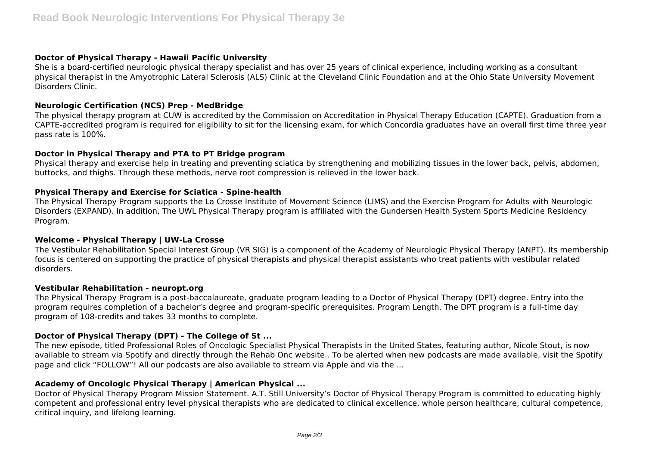#### **Doctor of Physical Therapy - Hawaii Pacific University**

She is a board-certified neurologic physical therapy specialist and has over 25 years of clinical experience, including working as a consultant physical therapist in the Amyotrophic Lateral Sclerosis (ALS) Clinic at the Cleveland Clinic Foundation and at the Ohio State University Movement Disorders Clinic.

## **Neurologic Certification (NCS) Prep - MedBridge**

The physical therapy program at CUW is accredited by the Commission on Accreditation in Physical Therapy Education (CAPTE). Graduation from a CAPTE-accredited program is required for eligibility to sit for the licensing exam, for which Concordia graduates have an overall first time three year pass rate is 100%.

## **Doctor in Physical Therapy and PTA to PT Bridge program**

Physical therapy and exercise help in treating and preventing sciatica by strengthening and mobilizing tissues in the lower back, pelvis, abdomen, buttocks, and thighs. Through these methods, nerve root compression is relieved in the lower back.

## **Physical Therapy and Exercise for Sciatica - Spine-health**

The Physical Therapy Program supports the La Crosse Institute of Movement Science (LIMS) and the Exercise Program for Adults with Neurologic Disorders (EXPAND). In addition, The UWL Physical Therapy program is affiliated with the Gundersen Health System Sports Medicine Residency Program.

#### **Welcome - Physical Therapy | UW-La Crosse**

The Vestibular Rehabilitation Special Interest Group (VR SIG) is a component of the Academy of Neurologic Physical Therapy (ANPT). Its membership focus is centered on supporting the practice of physical therapists and physical therapist assistants who treat patients with vestibular related disorders.

#### **Vestibular Rehabilitation - neuropt.org**

The Physical Therapy Program is a post-baccalaureate, graduate program leading to a Doctor of Physical Therapy (DPT) degree. Entry into the program requires completion of a bachelor's degree and program-specific prerequisites. Program Length. The DPT program is a full-time day program of 108-credits and takes 33 months to complete.

# **Doctor of Physical Therapy (DPT) - The College of St ...**

The new episode, titled Professional Roles of Oncologic Specialist Physical Therapists in the United States, featuring author, Nicole Stout, is now available to stream via Spotify and directly through the Rehab Onc website.. To be alerted when new podcasts are made available, visit the Spotify page and click "FOLLOW"! All our podcasts are also available to stream via Apple and via the ...

# **Academy of Oncologic Physical Therapy | American Physical ...**

Doctor of Physical Therapy Program Mission Statement. A.T. Still University's Doctor of Physical Therapy Program is committed to educating highly competent and professional entry level physical therapists who are dedicated to clinical excellence, whole person healthcare, cultural competence, critical inquiry, and lifelong learning.